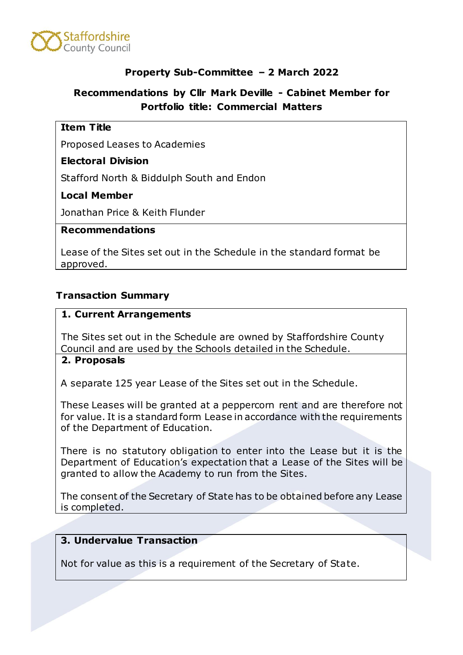

# **Property Sub-Committee – 2 March 2022**

# **Recommendations by Cllr Mark Deville - Cabinet Member for Portfolio title: Commercial Matters**

## **Item Title**

Proposed Leases to Academies

## **Electoral Division**

Stafford North & Biddulph South and Endon

# **Local Member**

Jonathan Price & Keith Flunder

#### **Recommendations**

Lease of the Sites set out in the Schedule in the standard format be approved.

# **Transaction Summary**

#### **1. Current Arrangements**

The Sites set out in the Schedule are owned by Staffordshire County Council and are used by the Schools detailed in the Schedule.

#### **2. Proposals**

A separate 125 year Lease of the Sites set out in the Schedule.

These Leases will be granted at a peppercorn rent and are therefore not for value. It is a standard form Lease in accordance with the requirements of the Department of Education.

There is no statutory obligation to enter into the Lease but it is the Department of Education's expectation that a Lease of the Sites will be granted to allow the Academy to run from the Sites.

The consent of the Secretary of State has to be obtained before any Lease is completed.

# **3. Undervalue Transaction**

Not for value as this is a requirement of the Secretary of State.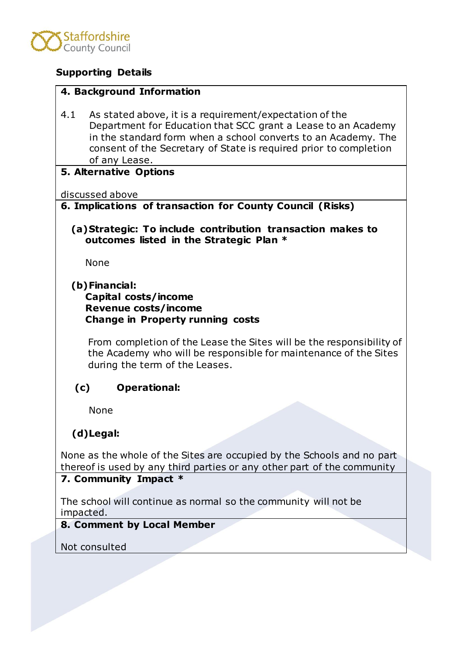

# **Supporting Details**

#### **4. Background Information**

4.1 As stated above, it is a requirement/expectation of the Department for Education that SCC grant a Lease to an Academy in the standard form when a school converts to an Academy. The consent of the Secretary of State is required prior to completion of any Lease.

#### **5. Alternative Options**

discussed above

# **6. Implications of transaction for County Council (Risks)**

**(a)Strategic: To include contribution transaction makes to outcomes listed in the Strategic Plan \***

None

# **(b)Financial:**

## **Capital costs/income Revenue costs/income Change in Property running costs**

From completion of the Lease the Sites will be the responsibility of the Academy who will be responsible for maintenance of the Sites during the term of the Leases.

# **(c) Operational:**

None

# **(d)Legal:**

None as the whole of the Sites are occupied by the Schools and no part thereof is used by any third parties or any other part of the community

# **7. Community Impact \***

The school will continue as normal so the community will not be impacted.

# **8. Comment by Local Member**

Not consulted